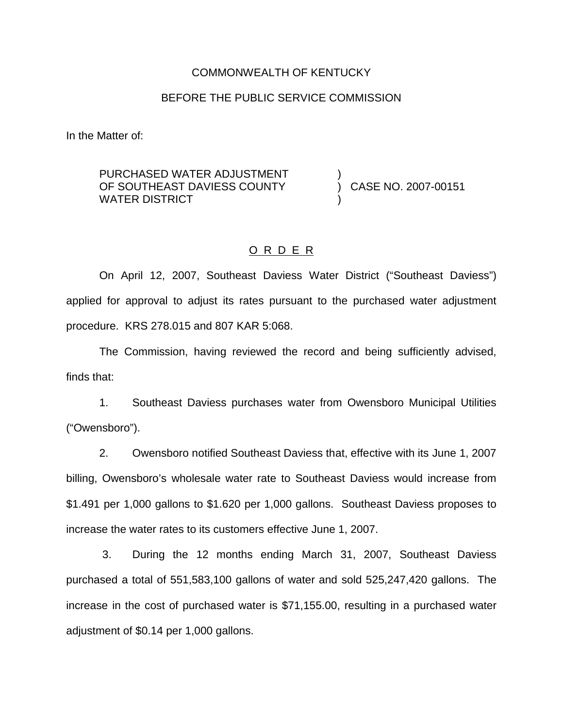#### COMMONWEALTH OF KENTUCKY

### BEFORE THE PUBLIC SERVICE COMMISSION

In the Matter of:

PURCHASED WATER ADJUSTMENT OF SOUTHEAST DAVIESS COUNTY WATER DISTRICT

) CASE NO. 2007-00151

)

)

#### O R D E R

On April 12, 2007, Southeast Daviess Water District ("Southeast Daviess") applied for approval to adjust its rates pursuant to the purchased water adjustment procedure. KRS 278.015 and 807 KAR 5:068.

The Commission, having reviewed the record and being sufficiently advised, finds that:

1. Southeast Daviess purchases water from Owensboro Municipal Utilities ("Owensboro").

2. Owensboro notified Southeast Daviess that, effective with its June 1, 2007 billing, Owensboro's wholesale water rate to Southeast Daviess would increase from \$1.491 per 1,000 gallons to \$1.620 per 1,000 gallons. Southeast Daviess proposes to increase the water rates to its customers effective June 1, 2007.

3. During the 12 months ending March 31, 2007, Southeast Daviess purchased a total of 551,583,100 gallons of water and sold 525,247,420 gallons. The increase in the cost of purchased water is \$71,155.00, resulting in a purchased water adjustment of \$0.14 per 1,000 gallons.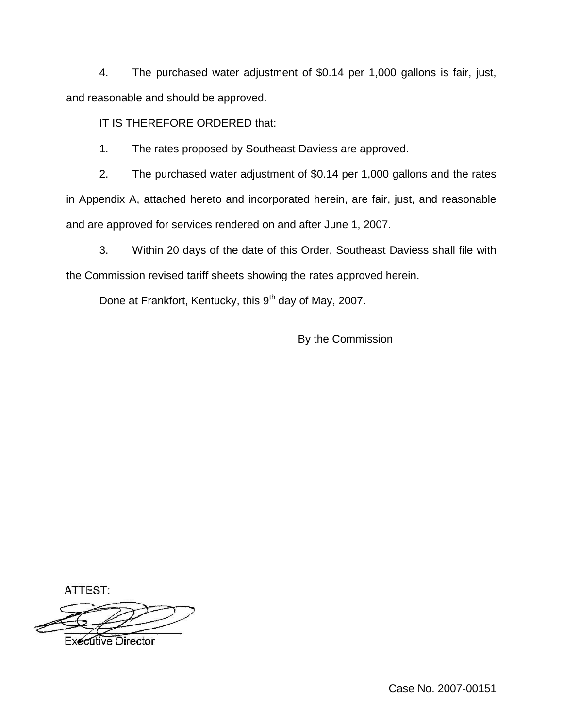4. The purchased water adjustment of \$0.14 per 1,000 gallons is fair, just, and reasonable and should be approved.

IT IS THEREFORE ORDERED that:

1. The rates proposed by Southeast Daviess are approved.

2. The purchased water adjustment of \$0.14 per 1,000 gallons and the rates in Appendix A, attached hereto and incorporated herein, are fair, just, and reasonable and are approved for services rendered on and after June 1, 2007.

3. Within 20 days of the date of this Order, Southeast Daviess shall file with the Commission revised tariff sheets showing the rates approved herein.

Done at Frankfort, Kentucky, this 9<sup>th</sup> day of May, 2007.

By the Commission

ATTEST:

**Executive Director**